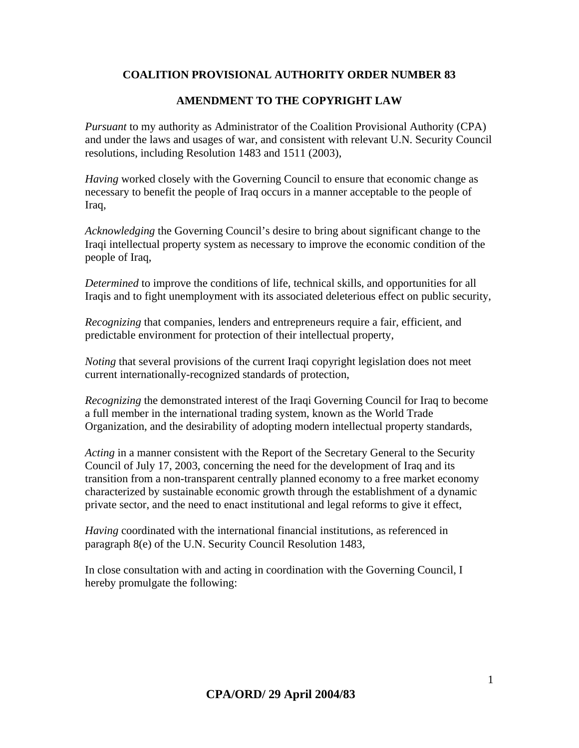# **COALITION PROVISIONAL AUTHORITY ORDER NUMBER 83**

# **AMENDMENT TO THE COPYRIGHT LAW**

*Pursuant* to my authority as Administrator of the Coalition Provisional Authority (CPA) and under the laws and usages of war, and consistent with relevant U.N. Security Council resolutions, including Resolution 1483 and 1511 (2003),

*Having* worked closely with the Governing Council to ensure that economic change as necessary to benefit the people of Iraq occurs in a manner acceptable to the people of Iraq,

*Acknowledging* the Governing Council's desire to bring about significant change to the Iraqi intellectual property system as necessary to improve the economic condition of the people of Iraq,

*Determined* to improve the conditions of life, technical skills, and opportunities for all Iraqis and to fight unemployment with its associated deleterious effect on public security,

*Recognizing* that companies, lenders and entrepreneurs require a fair, efficient, and predictable environment for protection of their intellectual property,

*Noting* that several provisions of the current Iraqi copyright legislation does not meet current internationally-recognized standards of protection,

*Recognizing* the demonstrated interest of the Iraqi Governing Council for Iraq to become a full member in the international trading system, known as the World Trade Organization, and the desirability of adopting modern intellectual property standards,

*Acting* in a manner consistent with the Report of the Secretary General to the Security Council of July 17, 2003, concerning the need for the development of Iraq and its transition from a non-transparent centrally planned economy to a free market economy characterized by sustainable economic growth through the establishment of a dynamic private sector, and the need to enact institutional and legal reforms to give it effect,

*Having* coordinated with the international financial institutions, as referenced in paragraph 8(e) of the U.N. Security Council Resolution 1483,

In close consultation with and acting in coordination with the Governing Council, I hereby promulgate the following: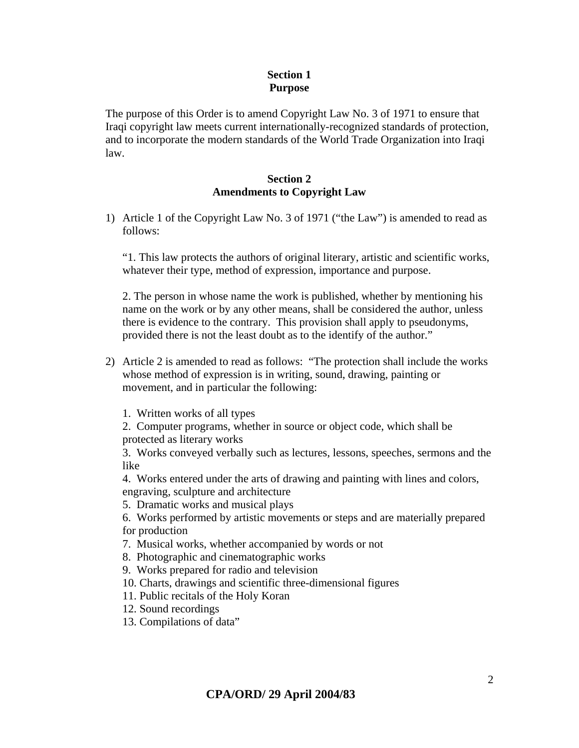### **Section 1 Purpose**

The purpose of this Order is to amend Copyright Law No. 3 of 1971 to ensure that Iraqi copyright law meets current internationally-recognized standards of protection, and to incorporate the modern standards of the World Trade Organization into Iraqi law.

### **Section 2 Amendments to Copyright Law**

1) Article 1 of the Copyright Law No. 3 of 1971 ("the Law") is amended to read as follows:

"1. This law protects the authors of original literary, artistic and scientific works, whatever their type, method of expression, importance and purpose.

2. The person in whose name the work is published, whether by mentioning his name on the work or by any other means, shall be considered the author, unless there is evidence to the contrary. This provision shall apply to pseudonyms, provided there is not the least doubt as to the identify of the author."

- 2) Article 2 is amended to read as follows: "The protection shall include the works whose method of expression is in writing, sound, drawing, painting or movement, and in particular the following:
	- 1. Written works of all types

2. Computer programs, whether in source or object code, which shall be protected as literary works

3. Works conveyed verbally such as lectures, lessons, speeches, sermons and the like

4. Works entered under the arts of drawing and painting with lines and colors, engraving, sculpture and architecture

5. Dramatic works and musical plays

6. Works performed by artistic movements or steps and are materially prepared for production

- 7. Musical works, whether accompanied by words or not
- 8. Photographic and cinematographic works
- 9. Works prepared for radio and television
- 10. Charts, drawings and scientific three-dimensional figures
- 11. Public recitals of the Holy Koran
- 12. Sound recordings
- 13. Compilations of data"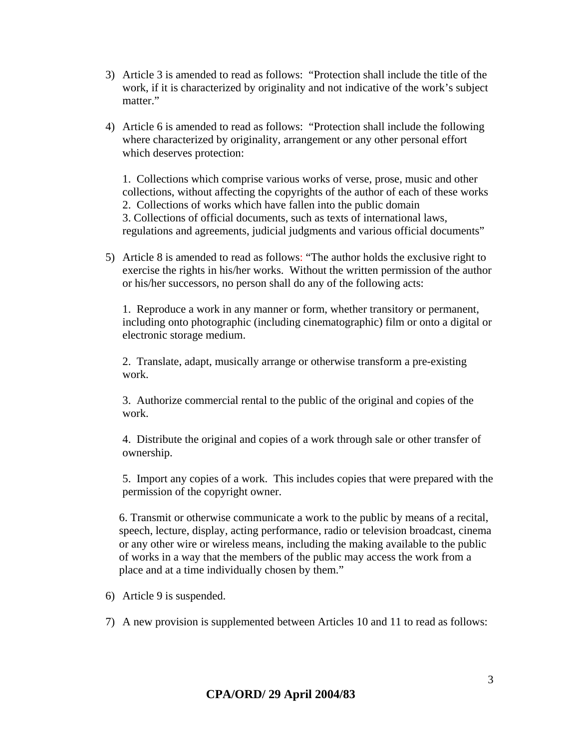- 3) Article 3 is amended to read as follows: "Protection shall include the title of the work, if it is characterized by originality and not indicative of the work's subject matter."
- 4) Article 6 is amended to read as follows: "Protection shall include the following where characterized by originality, arrangement or any other personal effort which deserves protection:

1. Collections which comprise various works of verse, prose, music and other collections, without affecting the copyrights of the author of each of these works 2. Collections of works which have fallen into the public domain 3. Collections of official documents, such as texts of international laws, regulations and agreements, judicial judgments and various official documents"

5) Article 8 is amended to read as follows: "The author holds the exclusive right to exercise the rights in his/her works. Without the written permission of the author or his/her successors, no person shall do any of the following acts:

1. Reproduce a work in any manner or form, whether transitory or permanent, including onto photographic (including cinematographic) film or onto a digital or electronic storage medium.

2. Translate, adapt, musically arrange or otherwise transform a pre-existing work.

3. Authorize commercial rental to the public of the original and copies of the work.

4. Distribute the original and copies of a work through sale or other transfer of ownership.

5. Import any copies of a work. This includes copies that were prepared with the permission of the copyright owner.

6. Transmit or otherwise communicate a work to the public by means of a recital, speech, lecture, display, acting performance, radio or television broadcast, cinema or any other wire or wireless means, including the making available to the public of works in a way that the members of the public may access the work from a place and at a time individually chosen by them."

- 6) Article 9 is suspended.
- 7) A new provision is supplemented between Articles 10 and 11 to read as follows: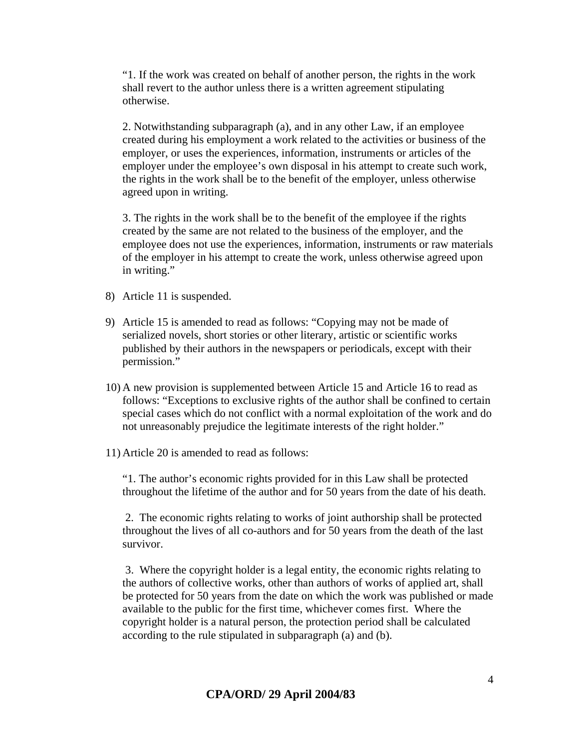"1. If the work was created on behalf of another person, the rights in the work shall revert to the author unless there is a written agreement stipulating otherwise.

2. Notwithstanding subparagraph (a), and in any other Law, if an employee created during his employment a work related to the activities or business of the employer, or uses the experiences, information, instruments or articles of the employer under the employee's own disposal in his attempt to create such work, the rights in the work shall be to the benefit of the employer, unless otherwise agreed upon in writing.

3. The rights in the work shall be to the benefit of the employee if the rights created by the same are not related to the business of the employer, and the employee does not use the experiences, information, instruments or raw materials of the employer in his attempt to create the work, unless otherwise agreed upon in writing."

- 8) Article 11 is suspended.
- 9) Article 15 is amended to read as follows: "Copying may not be made of serialized novels, short stories or other literary, artistic or scientific works published by their authors in the newspapers or periodicals, except with their permission."
- 10) A new provision is supplemented between Article 15 and Article 16 to read as follows: "Exceptions to exclusive rights of the author shall be confined to certain special cases which do not conflict with a normal exploitation of the work and do not unreasonably prejudice the legitimate interests of the right holder."
- 11) Article 20 is amended to read as follows:

"1. The author's economic rights provided for in this Law shall be protected throughout the lifetime of the author and for 50 years from the date of his death.

2. The economic rights relating to works of joint authorship shall be protected throughout the lives of all co-authors and for 50 years from the death of the last survivor.

3. Where the copyright holder is a legal entity, the economic rights relating to the authors of collective works, other than authors of works of applied art, shall be protected for 50 years from the date on which the work was published or made available to the public for the first time, whichever comes first. Where the copyright holder is a natural person, the protection period shall be calculated according to the rule stipulated in subparagraph (a) and (b).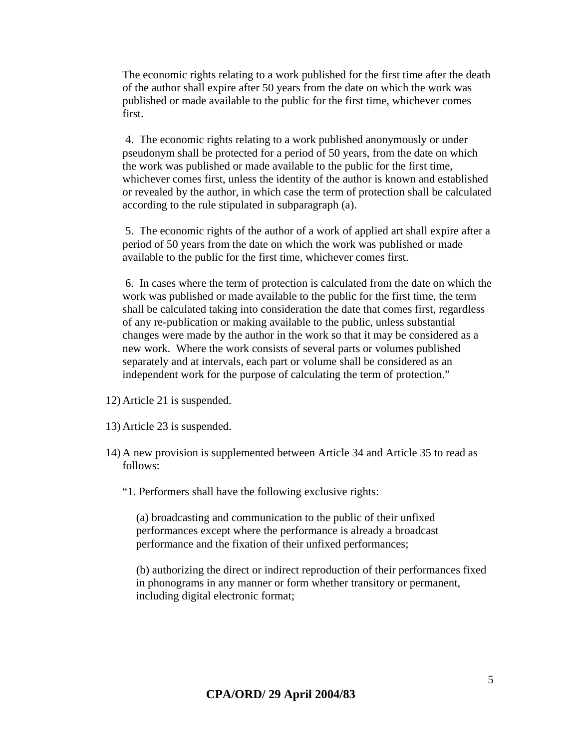The economic rights relating to a work published for the first time after the death of the author shall expire after 50 years from the date on which the work was published or made available to the public for the first time, whichever comes first.

 4. The economic rights relating to a work published anonymously or under pseudonym shall be protected for a period of 50 years, from the date on which the work was published or made available to the public for the first time, whichever comes first, unless the identity of the author is known and established or revealed by the author, in which case the term of protection shall be calculated according to the rule stipulated in subparagraph (a).

5. The economic rights of the author of a work of applied art shall expire after a period of 50 years from the date on which the work was published or made available to the public for the first time, whichever comes first.

6. In cases where the term of protection is calculated from the date on which the work was published or made available to the public for the first time, the term shall be calculated taking into consideration the date that comes first, regardless of any re-publication or making available to the public, unless substantial changes were made by the author in the work so that it may be considered as a new work. Where the work consists of several parts or volumes published separately and at intervals, each part or volume shall be considered as an independent work for the purpose of calculating the term of protection."

- 12) Article 21 is suspended.
- 13) Article 23 is suspended.
- 14) A new provision is supplemented between Article 34 and Article 35 to read as follows:
	- "1. Performers shall have the following exclusive rights:

(a) broadcasting and communication to the public of their unfixed performances except where the performance is already a broadcast performance and the fixation of their unfixed performances;

(b) authorizing the direct or indirect reproduction of their performances fixed in phonograms in any manner or form whether transitory or permanent, including digital electronic format;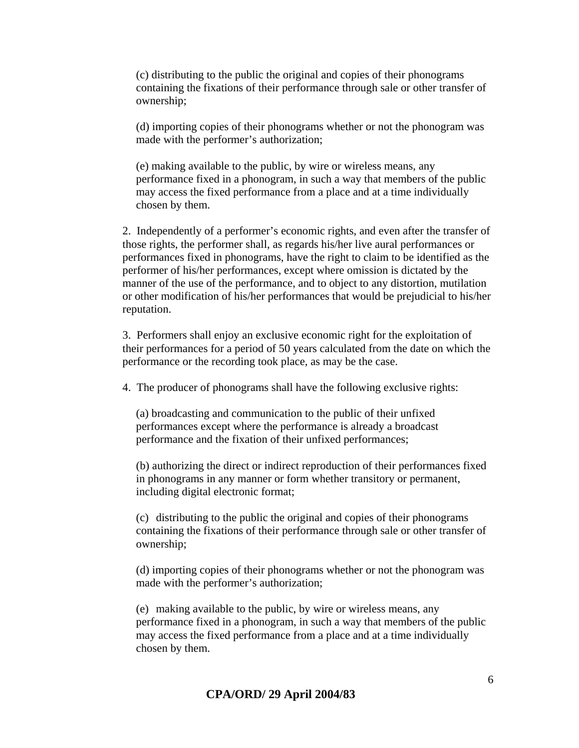(c) distributing to the public the original and copies of their phonograms containing the fixations of their performance through sale or other transfer of ownership;

(d) importing copies of their phonograms whether or not the phonogram was made with the performer's authorization;

(e) making available to the public, by wire or wireless means, any performance fixed in a phonogram, in such a way that members of the public may access the fixed performance from a place and at a time individually chosen by them.

2. Independently of a performer's economic rights, and even after the transfer of those rights, the performer shall, as regards his/her live aural performances or performances fixed in phonograms, have the right to claim to be identified as the performer of his/her performances, except where omission is dictated by the manner of the use of the performance, and to object to any distortion, mutilation or other modification of his/her performances that would be prejudicial to his/her reputation.

3. Performers shall enjoy an exclusive economic right for the exploitation of their performances for a period of 50 years calculated from the date on which the performance or the recording took place, as may be the case.

4. The producer of phonograms shall have the following exclusive rights:

(a) broadcasting and communication to the public of their unfixed performances except where the performance is already a broadcast performance and the fixation of their unfixed performances;

(b) authorizing the direct or indirect reproduction of their performances fixed in phonograms in any manner or form whether transitory or permanent, including digital electronic format;

(c) distributing to the public the original and copies of their phonograms containing the fixations of their performance through sale or other transfer of ownership;

(d) importing copies of their phonograms whether or not the phonogram was made with the performer's authorization;

(e) making available to the public, by wire or wireless means, any performance fixed in a phonogram, in such a way that members of the public may access the fixed performance from a place and at a time individually chosen by them.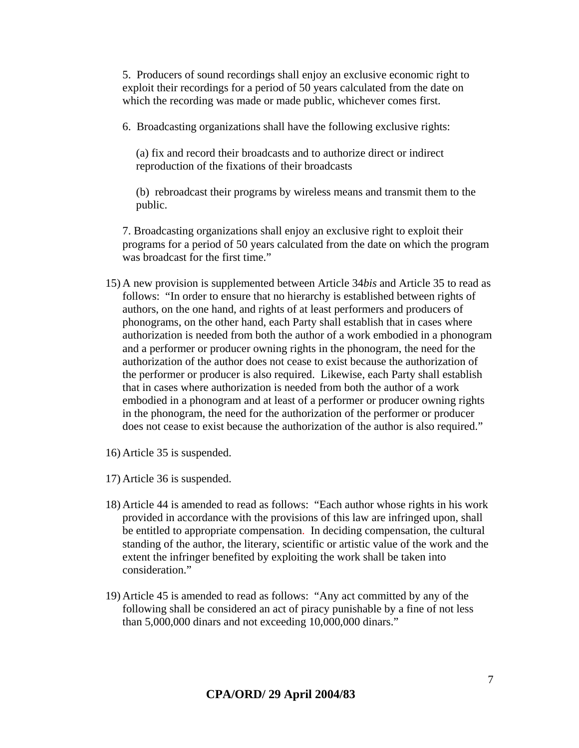5. Producers of sound recordings shall enjoy an exclusive economic right to exploit their recordings for a period of 50 years calculated from the date on which the recording was made or made public, whichever comes first.

6. Broadcasting organizations shall have the following exclusive rights:

(a) fix and record their broadcasts and to authorize direct or indirect reproduction of the fixations of their broadcasts

(b) rebroadcast their programs by wireless means and transmit them to the public.

7. Broadcasting organizations shall enjoy an exclusive right to exploit their programs for a period of 50 years calculated from the date on which the program was broadcast for the first time."

- 15) A new provision is supplemented between Article 34*bis* and Article 35 to read as follows: "In order to ensure that no hierarchy is established between rights of authors, on the one hand, and rights of at least performers and producers of phonograms, on the other hand, each Party shall establish that in cases where authorization is needed from both the author of a work embodied in a phonogram and a performer or producer owning rights in the phonogram, the need for the authorization of the author does not cease to exist because the authorization of the performer or producer is also required. Likewise, each Party shall establish that in cases where authorization is needed from both the author of a work embodied in a phonogram and at least of a performer or producer owning rights in the phonogram, the need for the authorization of the performer or producer does not cease to exist because the authorization of the author is also required."
- 16) Article 35 is suspended.
- 17) Article 36 is suspended.
- 18) Article 44 is amended to read as follows: "Each author whose rights in his work provided in accordance with the provisions of this law are infringed upon, shall be entitled to appropriate compensation. In deciding compensation, the cultural standing of the author, the literary, scientific or artistic value of the work and the extent the infringer benefited by exploiting the work shall be taken into consideration."
- 19) Article 45 is amended to read as follows: "Any act committed by any of the following shall be considered an act of piracy punishable by a fine of not less than 5,000,000 dinars and not exceeding 10,000,000 dinars."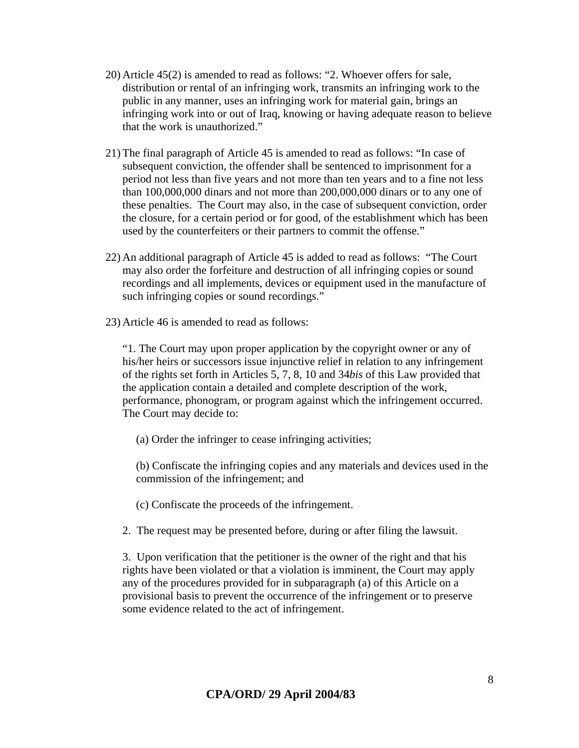- 20) Article 45(2) is amended to read as follows: "2. Whoever offers for sale, distribution or rental of an infringing work, transmits an infringing work to the public in any manner, uses an infringing work for material gain, brings an infringing work into or out of Iraq, knowing or having adequate reason to believe that the work is unauthorized."
- 21) The final paragraph of Article 45 is amended to read as follows: "In case of subsequent conviction, the offender shall be sentenced to imprisonment for a period not less than five years and not more than ten years and to a fine not less than 100,000,000 dinars and not more than 200,000,000 dinars or to any one of these penalties. The Court may also, in the case of subsequent conviction, order the closure, for a certain period or for good, of the establishment which has been used by the counterfeiters or their partners to commit the offense."
- 22) An additional paragraph of Article 45 is added to read as follows: "The Court may also order the forfeiture and destruction of all infringing copies or sound recordings and all implements, devices or equipment used in the manufacture of such infringing copies or sound recordings."
- 23) Article 46 is amended to read as follows:

"1. The Court may upon proper application by the copyright owner or any of his/her heirs or successors issue injunctive relief in relation to any infringement of the rights set forth in Articles 5, 7, 8, 10 and 34*bis* of this Law provided that the application contain a detailed and complete description of the work, performance, phonogram, or program against which the infringement occurred. The Court may decide to:

(a) Order the infringer to cease infringing activities;

(b) Confiscate the infringing copies and any materials and devices used in the commission of the infringement; and

(c) Confiscate the proceeds of the infringement.

2. The request may be presented before, during or after filing the lawsuit.

3. Upon verification that the petitioner is the owner of the right and that his rights have been violated or that a violation is imminent, the Court may apply any of the procedures provided for in subparagraph (a) of this Article on a provisional basis to prevent the occurrence of the infringement or to preserve some evidence related to the act of infringement.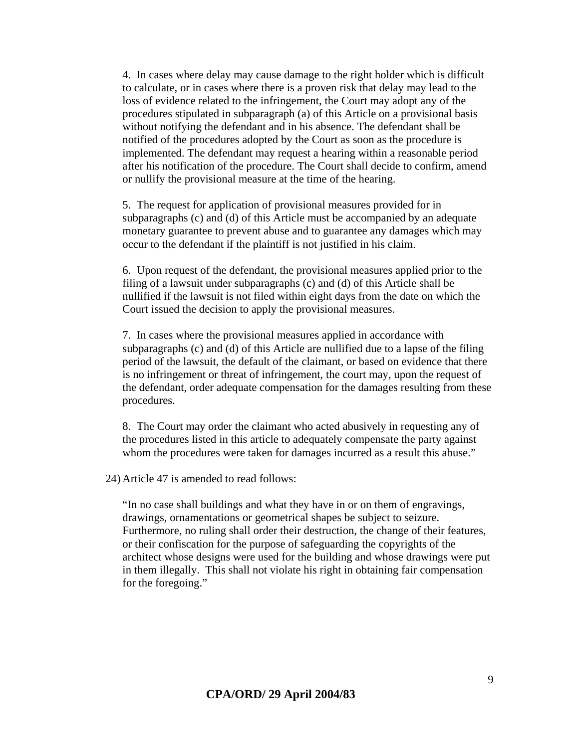4. In cases where delay may cause damage to the right holder which is difficult to calculate, or in cases where there is a proven risk that delay may lead to the loss of evidence related to the infringement, the Court may adopt any of the procedures stipulated in subparagraph (a) of this Article on a provisional basis without notifying the defendant and in his absence. The defendant shall be notified of the procedures adopted by the Court as soon as the procedure is implemented. The defendant may request a hearing within a reasonable period after his notification of the procedure. The Court shall decide to confirm, amend or nullify the provisional measure at the time of the hearing.

5. The request for application of provisional measures provided for in subparagraphs (c) and (d) of this Article must be accompanied by an adequate monetary guarantee to prevent abuse and to guarantee any damages which may occur to the defendant if the plaintiff is not justified in his claim.

6. Upon request of the defendant, the provisional measures applied prior to the filing of a lawsuit under subparagraphs (c) and (d) of this Article shall be nullified if the lawsuit is not filed within eight days from the date on which the Court issued the decision to apply the provisional measures.

7. In cases where the provisional measures applied in accordance with subparagraphs (c) and (d) of this Article are nullified due to a lapse of the filing period of the lawsuit, the default of the claimant, or based on evidence that there is no infringement or threat of infringement, the court may, upon the request of the defendant, order adequate compensation for the damages resulting from these procedures.

8. The Court may order the claimant who acted abusively in requesting any of the procedures listed in this article to adequately compensate the party against whom the procedures were taken for damages incurred as a result this abuse."

24) Article 47 is amended to read follows:

"In no case shall buildings and what they have in or on them of engravings, drawings, ornamentations or geometrical shapes be subject to seizure. Furthermore, no ruling shall order their destruction, the change of their features, or their confiscation for the purpose of safeguarding the copyrights of the architect whose designs were used for the building and whose drawings were put in them illegally. This shall not violate his right in obtaining fair compensation for the foregoing."